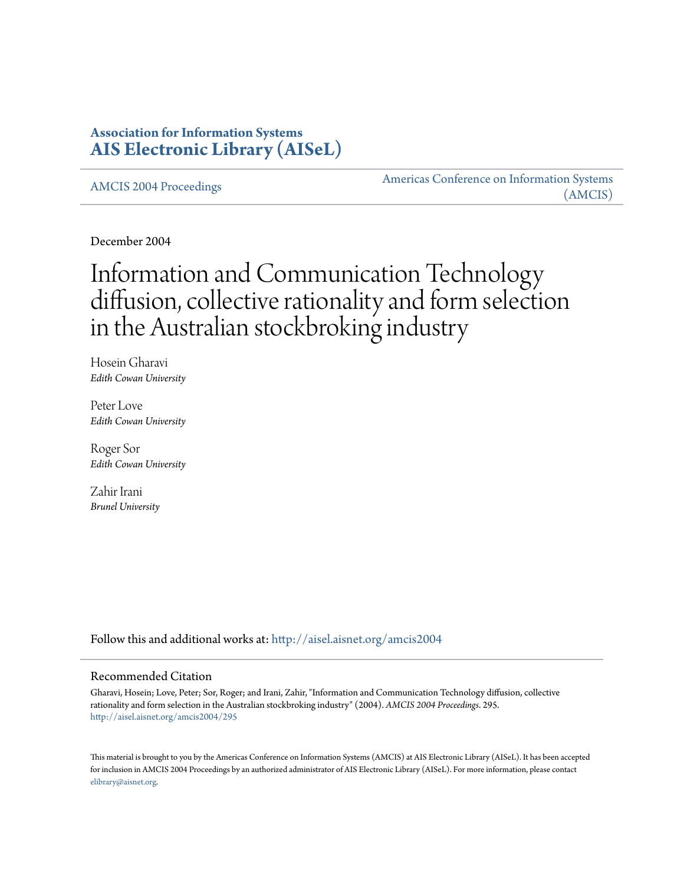## **Association for Information Systems [AIS Electronic Library \(AISeL\)](http://aisel.aisnet.org?utm_source=aisel.aisnet.org%2Famcis2004%2F295&utm_medium=PDF&utm_campaign=PDFCoverPages)**

[AMCIS 2004 Proceedings](http://aisel.aisnet.org/amcis2004?utm_source=aisel.aisnet.org%2Famcis2004%2F295&utm_medium=PDF&utm_campaign=PDFCoverPages)

[Americas Conference on Information Systems](http://aisel.aisnet.org/amcis?utm_source=aisel.aisnet.org%2Famcis2004%2F295&utm_medium=PDF&utm_campaign=PDFCoverPages) [\(AMCIS\)](http://aisel.aisnet.org/amcis?utm_source=aisel.aisnet.org%2Famcis2004%2F295&utm_medium=PDF&utm_campaign=PDFCoverPages)

December 2004

# Information and Communication Technology diffusion, collective rationality and form selection in the Australian stockbroking industry

Hosein Gharavi *Edith Cowan University*

Peter Love *Edith Cowan University*

Roger Sor *Edith Cowan University*

Zahir Irani *Brunel University*

Follow this and additional works at: [http://aisel.aisnet.org/amcis2004](http://aisel.aisnet.org/amcis2004?utm_source=aisel.aisnet.org%2Famcis2004%2F295&utm_medium=PDF&utm_campaign=PDFCoverPages)

#### Recommended Citation

Gharavi, Hosein; Love, Peter; Sor, Roger; and Irani, Zahir, "Information and Communication Technology diffusion, collective rationality and form selection in the Australian stockbroking industry" (2004). *AMCIS 2004 Proceedings*. 295. [http://aisel.aisnet.org/amcis2004/295](http://aisel.aisnet.org/amcis2004/295?utm_source=aisel.aisnet.org%2Famcis2004%2F295&utm_medium=PDF&utm_campaign=PDFCoverPages)

This material is brought to you by the Americas Conference on Information Systems (AMCIS) at AIS Electronic Library (AISeL). It has been accepted for inclusion in AMCIS 2004 Proceedings by an authorized administrator of AIS Electronic Library (AISeL). For more information, please contact [elibrary@aisnet.org.](mailto:elibrary@aisnet.org%3E)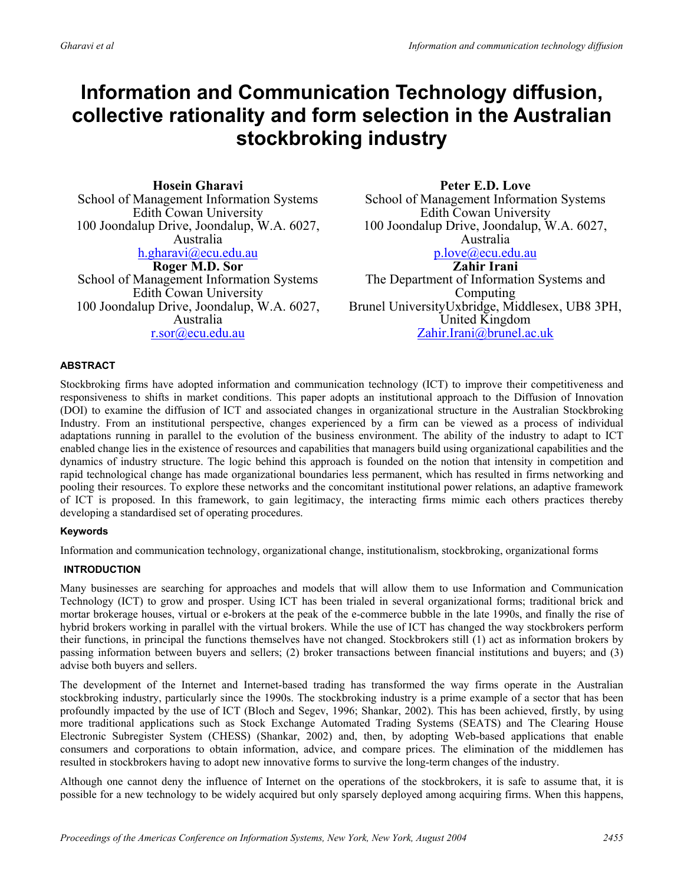# **Information and Communication Technology diffusion, collective rationality and form selection in the Australian stockbroking industry**

**Hosein Gharavi** School of Management Information Systems Edith Cowan University 100 Joondalup Drive, Joondalup, W.A. 6027, Australia h.gharavi@ecu.edu.au **Roger M.D. Sor** School of Management Information Systems Edith Cowan University

100 Joondalup Drive, Joondalup, W.A. 6027, Australia r.sor@ecu.edu.au

**Peter E.D. Love**  School of Management Information Systems Edith Cowan University 100 Joondalup Drive, Joondalup, W.A. 6027, Australia p.love@ecu.edu.au **Zahir Irani**  The Department of Information Systems and

Computing Brunel UniversityUxbridge, Middlesex, UB8 3PH, United Kingdom Zahir.Irani@brunel.ac.uk

#### **ABSTRACT**

Stockbroking firms have adopted information and communication technology (ICT) to improve their competitiveness and responsiveness to shifts in market conditions. This paper adopts an institutional approach to the Diffusion of Innovation (DOI) to examine the diffusion of ICT and associated changes in organizational structure in the Australian Stockbroking Industry. From an institutional perspective, changes experienced by a firm can be viewed as a process of individual adaptations running in parallel to the evolution of the business environment. The ability of the industry to adapt to ICT enabled change lies in the existence of resources and capabilities that managers build using organizational capabilities and the dynamics of industry structure. The logic behind this approach is founded on the notion that intensity in competition and rapid technological change has made organizational boundaries less permanent, which has resulted in firms networking and pooling their resources. To explore these networks and the concomitant institutional power relations, an adaptive framework of ICT is proposed. In this framework, to gain legitimacy, the interacting firms mimic each others practices thereby developing a standardised set of operating procedures.

#### **Keywords**

Information and communication technology, organizational change, institutionalism, stockbroking, organizational forms

#### **INTRODUCTION**

Many businesses are searching for approaches and models that will allow them to use Information and Communication Technology (ICT) to grow and prosper. Using ICT has been trialed in several organizational forms; traditional brick and mortar brokerage houses, virtual or e-brokers at the peak of the e-commerce bubble in the late 1990s, and finally the rise of hybrid brokers working in parallel with the virtual brokers. While the use of ICT has changed the way stockbrokers perform their functions, in principal the functions themselves have not changed. Stockbrokers still (1) act as information brokers by passing information between buyers and sellers; (2) broker transactions between financial institutions and buyers; and (3) advise both buyers and sellers.

The development of the Internet and Internet-based trading has transformed the way firms operate in the Australian stockbroking industry, particularly since the 1990s. The stockbroking industry is a prime example of a sector that has been profoundly impacted by the use of ICT (Bloch and Segev, 1996; Shankar, 2002). This has been achieved, firstly, by using more traditional applications such as Stock Exchange Automated Trading Systems (SEATS) and The Clearing House Electronic Subregister System (CHESS) (Shankar, 2002) and, then, by adopting Web-based applications that enable consumers and corporations to obtain information, advice, and compare prices. The elimination of the middlemen has resulted in stockbrokers having to adopt new innovative forms to survive the long-term changes of the industry.

Although one cannot deny the influence of Internet on the operations of the stockbrokers, it is safe to assume that, it is possible for a new technology to be widely acquired but only sparsely deployed among acquiring firms. When this happens,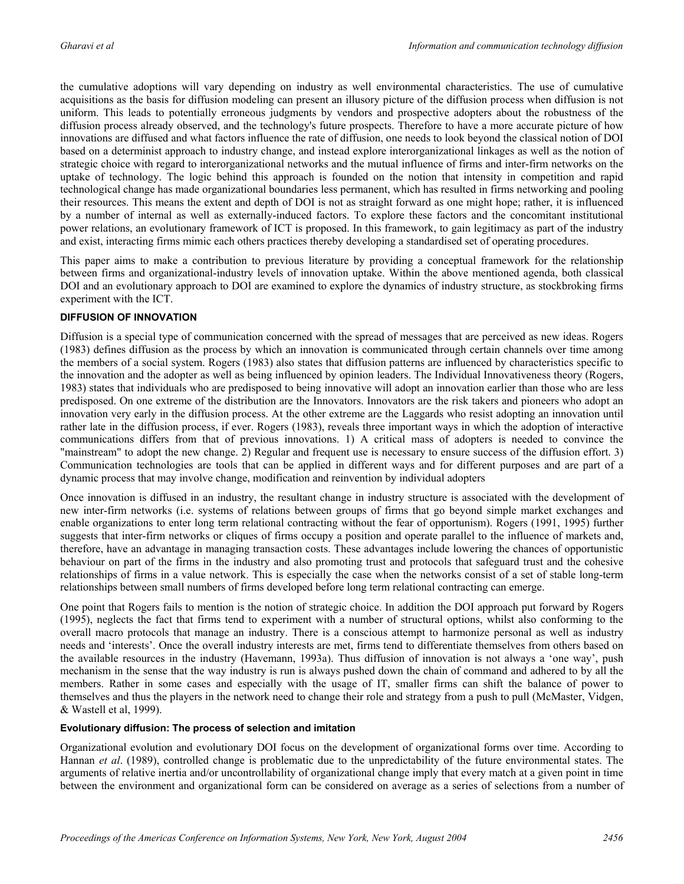the cumulative adoptions will vary depending on industry as well environmental characteristics. The use of cumulative acquisitions as the basis for diffusion modeling can present an illusory picture of the diffusion process when diffusion is not uniform. This leads to potentially erroneous judgments by vendors and prospective adopters about the robustness of the diffusion process already observed, and the technology's future prospects. Therefore to have a more accurate picture of how innovations are diffused and what factors influence the rate of diffusion, one needs to look beyond the classical notion of DOI based on a determinist approach to industry change, and instead explore interorganizational linkages as well as the notion of strategic choice with regard to interorganizational networks and the mutual influence of firms and inter-firm networks on the uptake of technology. The logic behind this approach is founded on the notion that intensity in competition and rapid technological change has made organizational boundaries less permanent, which has resulted in firms networking and pooling their resources. This means the extent and depth of DOI is not as straight forward as one might hope; rather, it is influenced by a number of internal as well as externally-induced factors. To explore these factors and the concomitant institutional power relations, an evolutionary framework of ICT is proposed. In this framework, to gain legitimacy as part of the industry and exist, interacting firms mimic each others practices thereby developing a standardised set of operating procedures.

This paper aims to make a contribution to previous literature by providing a conceptual framework for the relationship between firms and organizational-industry levels of innovation uptake. Within the above mentioned agenda, both classical DOI and an evolutionary approach to DOI are examined to explore the dynamics of industry structure, as stockbroking firms experiment with the ICT.

#### **DIFFUSION OF INNOVATION**

Diffusion is a special type of communication concerned with the spread of messages that are perceived as new ideas. Rogers (1983) defines diffusion as the process by which an innovation is communicated through certain channels over time among the members of a social system. Rogers (1983) also states that diffusion patterns are influenced by characteristics specific to the innovation and the adopter as well as being influenced by opinion leaders. The Individual Innovativeness theory (Rogers, 1983) states that individuals who are predisposed to being innovative will adopt an innovation earlier than those who are less predisposed. On one extreme of the distribution are the Innovators. Innovators are the risk takers and pioneers who adopt an innovation very early in the diffusion process. At the other extreme are the Laggards who resist adopting an innovation until rather late in the diffusion process, if ever. Rogers (1983), reveals three important ways in which the adoption of interactive communications differs from that of previous innovations. 1) A critical mass of adopters is needed to convince the "mainstream" to adopt the new change. 2) Regular and frequent use is necessary to ensure success of the diffusion effort. 3) Communication technologies are tools that can be applied in different ways and for different purposes and are part of a dynamic process that may involve change, modification and reinvention by individual adopters

Once innovation is diffused in an industry, the resultant change in industry structure is associated with the development of new inter-firm networks (i.e. systems of relations between groups of firms that go beyond simple market exchanges and enable organizations to enter long term relational contracting without the fear of opportunism). Rogers (1991, 1995) further suggests that inter-firm networks or cliques of firms occupy a position and operate parallel to the influence of markets and, therefore, have an advantage in managing transaction costs. These advantages include lowering the chances of opportunistic behaviour on part of the firms in the industry and also promoting trust and protocols that safeguard trust and the cohesive relationships of firms in a value network. This is especially the case when the networks consist of a set of stable long-term relationships between small numbers of firms developed before long term relational contracting can emerge.

One point that Rogers fails to mention is the notion of strategic choice. In addition the DOI approach put forward by Rogers (1995), neglects the fact that firms tend to experiment with a number of structural options, whilst also conforming to the overall macro protocols that manage an industry. There is a conscious attempt to harmonize personal as well as industry needs and 'interests'. Once the overall industry interests are met, firms tend to differentiate themselves from others based on the available resources in the industry (Havemann, 1993a). Thus diffusion of innovation is not always a 'one way', push mechanism in the sense that the way industry is run is always pushed down the chain of command and adhered to by all the members. Rather in some cases and especially with the usage of IT, smaller firms can shift the balance of power to themselves and thus the players in the network need to change their role and strategy from a push to pull (McMaster, Vidgen, & Wastell et al, 1999).

#### **Evolutionary diffusion: The process of selection and imitation**

Organizational evolution and evolutionary DOI focus on the development of organizational forms over time. According to Hannan *et al*. (1989), controlled change is problematic due to the unpredictability of the future environmental states. The arguments of relative inertia and/or uncontrollability of organizational change imply that every match at a given point in time between the environment and organizational form can be considered on average as a series of selections from a number of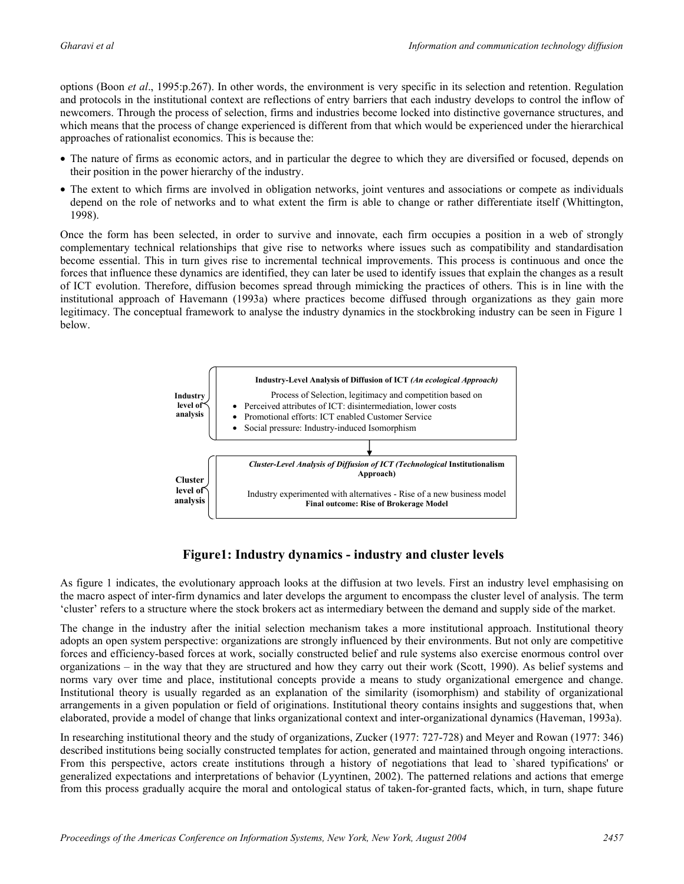options (Boon *et al*., 1995:p.267). In other words, the environment is very specific in its selection and retention. Regulation and protocols in the institutional context are reflections of entry barriers that each industry develops to control the inflow of newcomers. Through the process of selection, firms and industries become locked into distinctive governance structures, and which means that the process of change experienced is different from that which would be experienced under the hierarchical approaches of rationalist economics. This is because the:

- The nature of firms as economic actors, and in particular the degree to which they are diversified or focused, depends on their position in the power hierarchy of the industry.
- The extent to which firms are involved in obligation networks, joint ventures and associations or compete as individuals depend on the role of networks and to what extent the firm is able to change or rather differentiate itself (Whittington, 1998).

Once the form has been selected, in order to survive and innovate, each firm occupies a position in a web of strongly complementary technical relationships that give rise to networks where issues such as compatibility and standardisation become essential. This in turn gives rise to incremental technical improvements. This process is continuous and once the forces that influence these dynamics are identified, they can later be used to identify issues that explain the changes as a result of ICT evolution. Therefore, diffusion becomes spread through mimicking the practices of others. This is in line with the institutional approach of Havemann (1993a) where practices become diffused through organizations as they gain more legitimacy. The conceptual framework to analyse the industry dynamics in the stockbroking industry can be seen in Figure 1 below.



### **Figure1: Industry dynamics - industry and cluster levels**

As figure 1 indicates, the evolutionary approach looks at the diffusion at two levels. First an industry level emphasising on the macro aspect of inter-firm dynamics and later develops the argument to encompass the cluster level of analysis. The term 'cluster' refers to a structure where the stock brokers act as intermediary between the demand and supply side of the market.

The change in the industry after the initial selection mechanism takes a more institutional approach. Institutional theory adopts an open system perspective: organizations are strongly influenced by their environments. But not only are competitive forces and efficiency-based forces at work, socially constructed belief and rule systems also exercise enormous control over organizations – in the way that they are structured and how they carry out their work (Scott, 1990). As belief systems and norms vary over time and place, institutional concepts provide a means to study organizational emergence and change. Institutional theory is usually regarded as an explanation of the similarity (isomorphism) and stability of organizational arrangements in a given population or field of originations. Institutional theory contains insights and suggestions that, when elaborated, provide a model of change that links organizational context and inter-organizational dynamics (Haveman, 1993a).

In researching institutional theory and the study of organizations, Zucker (1977: 727-728) and Meyer and Rowan (1977: 346) described institutions being socially constructed templates for action, generated and maintained through ongoing interactions. From this perspective, actors create institutions through a history of negotiations that lead to `shared typifications' or generalized expectations and interpretations of behavior (Lyyntinen, 2002). The patterned relations and actions that emerge from this process gradually acquire the moral and ontological status of taken-for-granted facts, which, in turn, shape future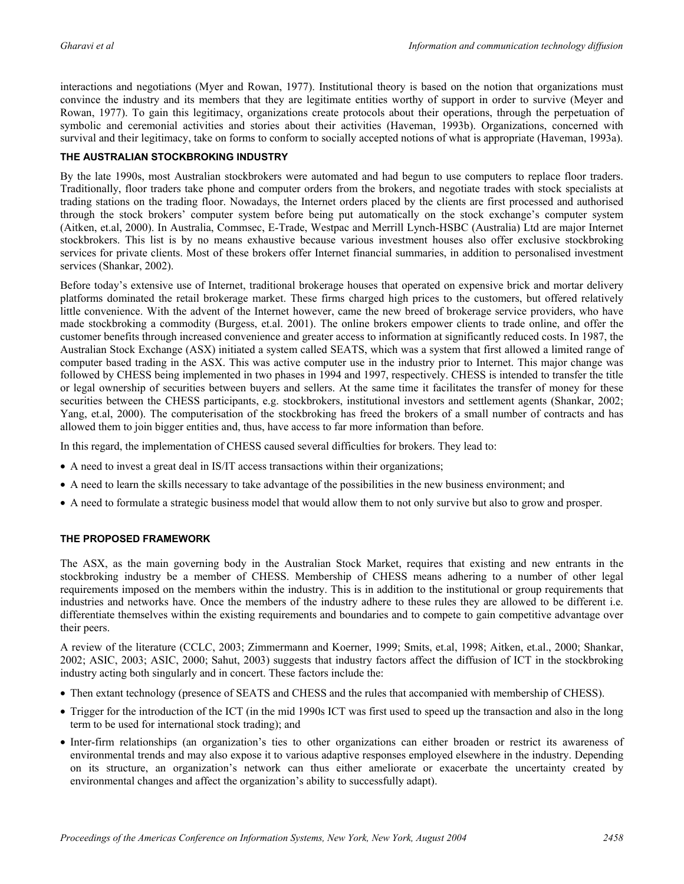interactions and negotiations (Myer and Rowan, 1977). Institutional theory is based on the notion that organizations must convince the industry and its members that they are legitimate entities worthy of support in order to survive (Meyer and Rowan, 1977). To gain this legitimacy, organizations create protocols about their operations, through the perpetuation of symbolic and ceremonial activities and stories about their activities (Haveman, 1993b). Organizations, concerned with survival and their legitimacy, take on forms to conform to socially accepted notions of what is appropriate (Haveman, 1993a).

#### **THE AUSTRALIAN STOCKBROKING INDUSTRY**

By the late 1990s, most Australian stockbrokers were automated and had begun to use computers to replace floor traders. Traditionally, floor traders take phone and computer orders from the brokers, and negotiate trades with stock specialists at trading stations on the trading floor. Nowadays, the Internet orders placed by the clients are first processed and authorised through the stock brokers' computer system before being put automatically on the stock exchange's computer system (Aitken, et.al, 2000). In Australia, Commsec, E-Trade, Westpac and Merrill Lynch-HSBC (Australia) Ltd are major Internet stockbrokers. This list is by no means exhaustive because various investment houses also offer exclusive stockbroking services for private clients. Most of these brokers offer Internet financial summaries, in addition to personalised investment services (Shankar, 2002).

Before today's extensive use of Internet, traditional brokerage houses that operated on expensive brick and mortar delivery platforms dominated the retail brokerage market. These firms charged high prices to the customers, but offered relatively little convenience. With the advent of the Internet however, came the new breed of brokerage service providers, who have made stockbroking a commodity (Burgess, et.al. 2001). The online brokers empower clients to trade online, and offer the customer benefits through increased convenience and greater access to information at significantly reduced costs. In 1987, the Australian Stock Exchange (ASX) initiated a system called SEATS, which was a system that first allowed a limited range of computer based trading in the ASX. This was active computer use in the industry prior to Internet. This major change was followed by CHESS being implemented in two phases in 1994 and 1997, respectively. CHESS is intended to transfer the title or legal ownership of securities between buyers and sellers. At the same time it facilitates the transfer of money for these securities between the CHESS participants, e.g. stockbrokers, institutional investors and settlement agents (Shankar, 2002; Yang, et.al, 2000). The computerisation of the stockbroking has freed the brokers of a small number of contracts and has allowed them to join bigger entities and, thus, have access to far more information than before.

In this regard, the implementation of CHESS caused several difficulties for brokers. They lead to:

- A need to invest a great deal in IS/IT access transactions within their organizations;
- A need to learn the skills necessary to take advantage of the possibilities in the new business environment; and
- A need to formulate a strategic business model that would allow them to not only survive but also to grow and prosper.

#### **THE PROPOSED FRAMEWORK**

The ASX, as the main governing body in the Australian Stock Market, requires that existing and new entrants in the stockbroking industry be a member of CHESS. Membership of CHESS means adhering to a number of other legal requirements imposed on the members within the industry. This is in addition to the institutional or group requirements that industries and networks have. Once the members of the industry adhere to these rules they are allowed to be different i.e. differentiate themselves within the existing requirements and boundaries and to compete to gain competitive advantage over their peers.

A review of the literature (CCLC, 2003; Zimmermann and Koerner, 1999; Smits, et.al, 1998; Aitken, et.al., 2000; Shankar, 2002; ASIC, 2003; ASIC, 2000; Sahut, 2003) suggests that industry factors affect the diffusion of ICT in the stockbroking industry acting both singularly and in concert. These factors include the:

- Then extant technology (presence of SEATS and CHESS and the rules that accompanied with membership of CHESS).
- Trigger for the introduction of the ICT (in the mid 1990s ICT was first used to speed up the transaction and also in the long term to be used for international stock trading); and
- Inter-firm relationships (an organization's ties to other organizations can either broaden or restrict its awareness of environmental trends and may also expose it to various adaptive responses employed elsewhere in the industry. Depending on its structure, an organization's network can thus either ameliorate or exacerbate the uncertainty created by environmental changes and affect the organization's ability to successfully adapt).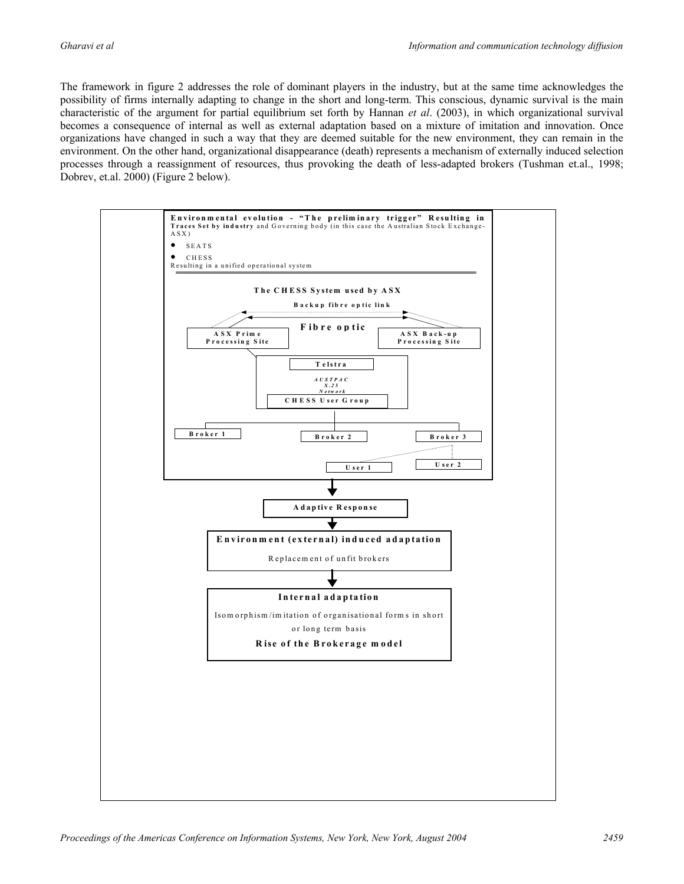The framework in figure 2 addresses the role of dominant players in the industry, but at the same time acknowledges the possibility of firms internally adapting to change in the short and long-term. This conscious, dynamic survival is the main characteristic of the argument for partial equilibrium set forth by Hannan *et al*. (2003), in which organizational survival becomes a consequence of internal as well as external adaptation based on a mixture of imitation and innovation. Once organizations have changed in such a way that they are deemed suitable for the new environment, they can remain in the environment. On the other hand, organizational disappearance (death) represents a mechanism of externally induced selection processes through a reassignment of resources, thus provoking the death of less-adapted brokers (Tushman et.al., 1998; Dobrev, et.al. 2000) (Figure 2 below).

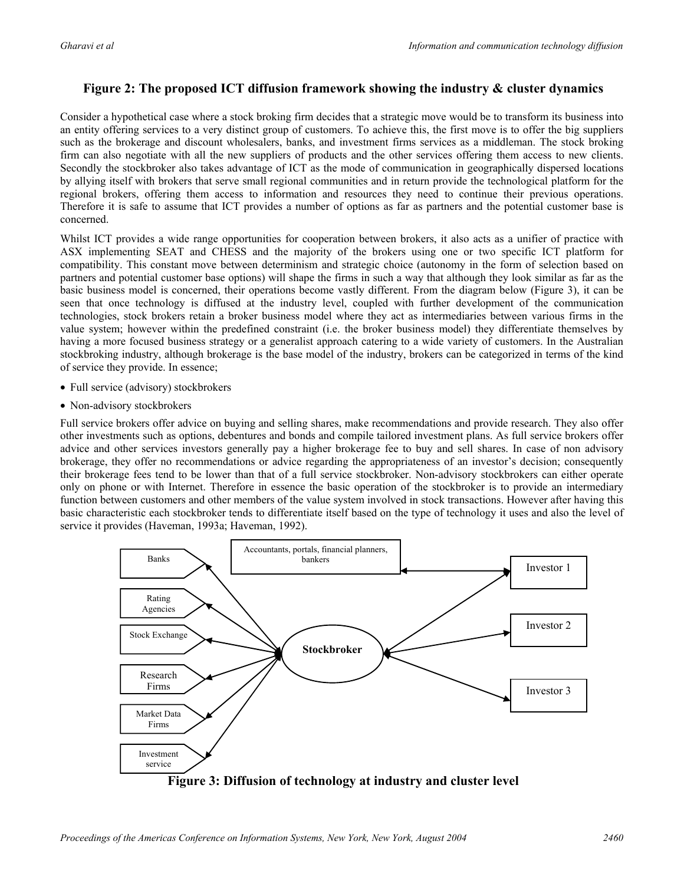#### **Figure 2: The proposed ICT diffusion framework showing the industry & cluster dynamics**

Consider a hypothetical case where a stock broking firm decides that a strategic move would be to transform its business into an entity offering services to a very distinct group of customers. To achieve this, the first move is to offer the big suppliers such as the brokerage and discount wholesalers, banks, and investment firms services as a middleman. The stock broking firm can also negotiate with all the new suppliers of products and the other services offering them access to new clients. Secondly the stockbroker also takes advantage of ICT as the mode of communication in geographically dispersed locations by allying itself with brokers that serve small regional communities and in return provide the technological platform for the regional brokers, offering them access to information and resources they need to continue their previous operations. Therefore it is safe to assume that ICT provides a number of options as far as partners and the potential customer base is concerned.

Whilst ICT provides a wide range opportunities for cooperation between brokers, it also acts as a unifier of practice with ASX implementing SEAT and CHESS and the majority of the brokers using one or two specific ICT platform for compatibility. This constant move between determinism and strategic choice (autonomy in the form of selection based on partners and potential customer base options) will shape the firms in such a way that although they look similar as far as the basic business model is concerned, their operations become vastly different. From the diagram below (Figure 3), it can be seen that once technology is diffused at the industry level, coupled with further development of the communication technologies, stock brokers retain a broker business model where they act as intermediaries between various firms in the value system; however within the predefined constraint (i.e. the broker business model) they differentiate themselves by having a more focused business strategy or a generalist approach catering to a wide variety of customers. In the Australian stockbroking industry, although brokerage is the base model of the industry, brokers can be categorized in terms of the kind of service they provide. In essence;

- Full service (advisory) stockbrokers
- Non-advisory stockbrokers

Full service brokers offer advice on buying and selling shares, make recommendations and provide research. They also offer other investments such as options, debentures and bonds and compile tailored investment plans. As full service brokers offer advice and other services investors generally pay a higher brokerage fee to buy and sell shares. In case of non advisory brokerage, they offer no recommendations or advice regarding the appropriateness of an investor's decision; consequently their brokerage fees tend to be lower than that of a full service stockbroker. Non-advisory stockbrokers can either operate only on phone or with Internet. Therefore in essence the basic operation of the stockbroker is to provide an intermediary function between customers and other members of the value system involved in stock transactions. However after having this basic characteristic each stockbroker tends to differentiate itself based on the type of technology it uses and also the level of service it provides (Haveman, 1993a; Haveman, 1992).



**Figure 3: Diffusion of technology at industry and cluster level**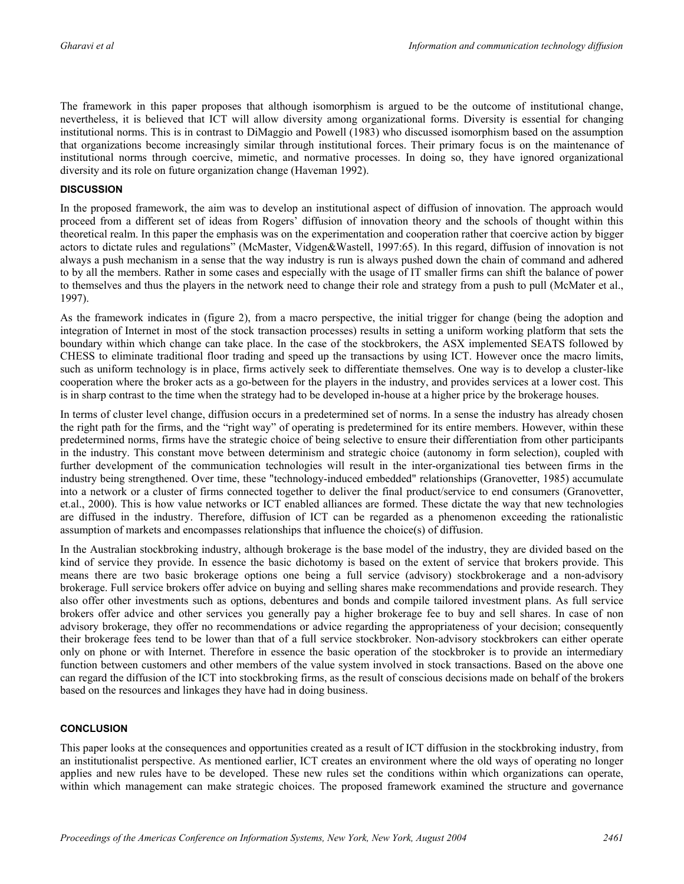The framework in this paper proposes that although isomorphism is argued to be the outcome of institutional change, nevertheless, it is believed that ICT will allow diversity among organizational forms. Diversity is essential for changing institutional norms. This is in contrast to DiMaggio and Powell (1983) who discussed isomorphism based on the assumption that organizations become increasingly similar through institutional forces. Their primary focus is on the maintenance of institutional norms through coercive, mimetic, and normative processes. In doing so, they have ignored organizational diversity and its role on future organization change (Haveman 1992).

#### **DISCUSSION**

In the proposed framework, the aim was to develop an institutional aspect of diffusion of innovation. The approach would proceed from a different set of ideas from Rogers' diffusion of innovation theory and the schools of thought within this theoretical realm. In this paper the emphasis was on the experimentation and cooperation rather that coercive action by bigger actors to dictate rules and regulations" (McMaster, Vidgen&Wastell, 1997:65). In this regard, diffusion of innovation is not always a push mechanism in a sense that the way industry is run is always pushed down the chain of command and adhered to by all the members. Rather in some cases and especially with the usage of IT smaller firms can shift the balance of power to themselves and thus the players in the network need to change their role and strategy from a push to pull (McMater et al., 1997).

As the framework indicates in (figure 2), from a macro perspective, the initial trigger for change (being the adoption and integration of Internet in most of the stock transaction processes) results in setting a uniform working platform that sets the boundary within which change can take place. In the case of the stockbrokers, the ASX implemented SEATS followed by CHESS to eliminate traditional floor trading and speed up the transactions by using ICT. However once the macro limits, such as uniform technology is in place, firms actively seek to differentiate themselves. One way is to develop a cluster-like cooperation where the broker acts as a go-between for the players in the industry, and provides services at a lower cost. This is in sharp contrast to the time when the strategy had to be developed in-house at a higher price by the brokerage houses.

In terms of cluster level change, diffusion occurs in a predetermined set of norms. In a sense the industry has already chosen the right path for the firms, and the "right way" of operating is predetermined for its entire members. However, within these predetermined norms, firms have the strategic choice of being selective to ensure their differentiation from other participants in the industry. This constant move between determinism and strategic choice (autonomy in form selection), coupled with further development of the communication technologies will result in the inter-organizational ties between firms in the industry being strengthened. Over time, these "technology-induced embedded" relationships (Granovetter, 1985) accumulate into a network or a cluster of firms connected together to deliver the final product/service to end consumers (Granovetter, et.al., 2000). This is how value networks or ICT enabled alliances are formed. These dictate the way that new technologies are diffused in the industry. Therefore, diffusion of ICT can be regarded as a phenomenon exceeding the rationalistic assumption of markets and encompasses relationships that influence the choice(s) of diffusion.

In the Australian stockbroking industry, although brokerage is the base model of the industry, they are divided based on the kind of service they provide. In essence the basic dichotomy is based on the extent of service that brokers provide. This means there are two basic brokerage options one being a full service (advisory) stockbrokerage and a non-advisory brokerage. Full service brokers offer advice on buying and selling shares make recommendations and provide research. They also offer other investments such as options, debentures and bonds and compile tailored investment plans. As full service brokers offer advice and other services you generally pay a higher brokerage fee to buy and sell shares. In case of non advisory brokerage, they offer no recommendations or advice regarding the appropriateness of your decision; consequently their brokerage fees tend to be lower than that of a full service stockbroker. Non-advisory stockbrokers can either operate only on phone or with Internet. Therefore in essence the basic operation of the stockbroker is to provide an intermediary function between customers and other members of the value system involved in stock transactions. Based on the above one can regard the diffusion of the ICT into stockbroking firms, as the result of conscious decisions made on behalf of the brokers based on the resources and linkages they have had in doing business.

#### **CONCLUSION**

This paper looks at the consequences and opportunities created as a result of ICT diffusion in the stockbroking industry, from an institutionalist perspective. As mentioned earlier, ICT creates an environment where the old ways of operating no longer applies and new rules have to be developed. These new rules set the conditions within which organizations can operate, within which management can make strategic choices. The proposed framework examined the structure and governance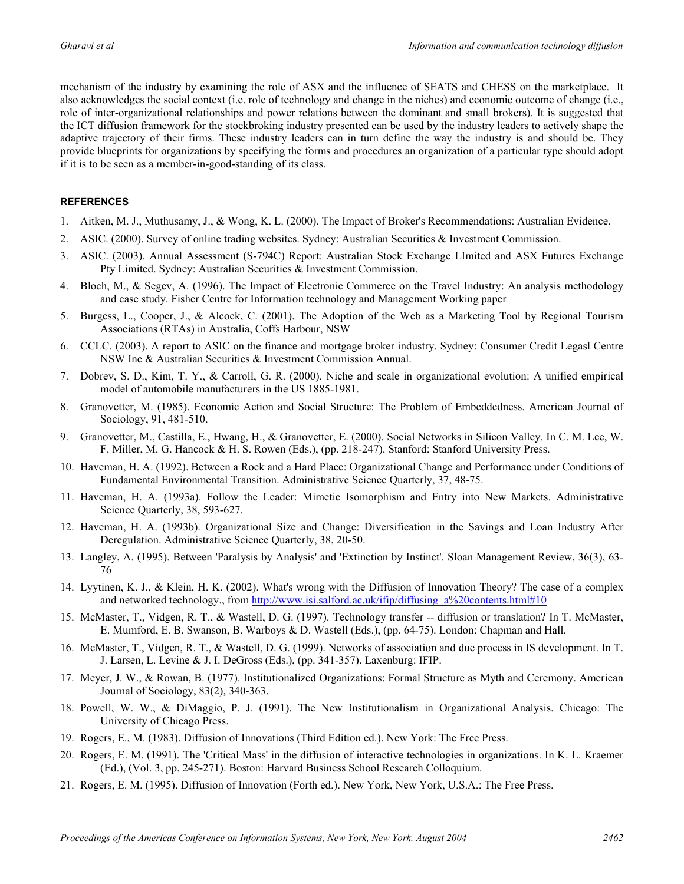mechanism of the industry by examining the role of ASX and the influence of SEATS and CHESS on the marketplace. It also acknowledges the social context (i.e. role of technology and change in the niches) and economic outcome of change (i.e., role of inter-organizational relationships and power relations between the dominant and small brokers). It is suggested that the ICT diffusion framework for the stockbroking industry presented can be used by the industry leaders to actively shape the adaptive trajectory of their firms. These industry leaders can in turn define the way the industry is and should be. They provide blueprints for organizations by specifying the forms and procedures an organization of a particular type should adopt if it is to be seen as a member-in-good-standing of its class.

#### **REFERENCES**

- 1. Aitken, M. J., Muthusamy, J., & Wong, K. L. (2000). The Impact of Broker's Recommendations: Australian Evidence.
- 2. ASIC. (2000). Survey of online trading websites. Sydney: Australian Securities & Investment Commission.
- 3. ASIC. (2003). Annual Assessment (S-794C) Report: Australian Stock Exchange LImited and ASX Futures Exchange Pty Limited. Sydney: Australian Securities & Investment Commission.
- 4. Bloch, M., & Segev, A. (1996). The Impact of Electronic Commerce on the Travel Industry: An analysis methodology and case study. Fisher Centre for Information technology and Management Working paper
- 5. Burgess, L., Cooper, J., & Alcock, C. (2001). The Adoption of the Web as a Marketing Tool by Regional Tourism Associations (RTAs) in Australia, Coffs Harbour, NSW
- 6. CCLC. (2003). A report to ASIC on the finance and mortgage broker industry. Sydney: Consumer Credit Legasl Centre NSW Inc & Australian Securities & Investment Commission Annual.
- 7. Dobrev, S. D., Kim, T. Y., & Carroll, G. R. (2000). Niche and scale in organizational evolution: A unified empirical model of automobile manufacturers in the US 1885-1981.
- 8. Granovetter, M. (1985). Economic Action and Social Structure: The Problem of Embeddedness. American Journal of Sociology, 91, 481-510.
- 9. Granovetter, M., Castilla, E., Hwang, H., & Granovetter, E. (2000). Social Networks in Silicon Valley. In C. M. Lee, W. F. Miller, M. G. Hancock & H. S. Rowen (Eds.), (pp. 218-247). Stanford: Stanford University Press.
- 10. Haveman, H. A. (1992). Between a Rock and a Hard Place: Organizational Change and Performance under Conditions of Fundamental Environmental Transition. Administrative Science Quarterly, 37, 48-75.
- 11. Haveman, H. A. (1993a). Follow the Leader: Mimetic Isomorphism and Entry into New Markets. Administrative Science Quarterly, 38, 593-627.
- 12. Haveman, H. A. (1993b). Organizational Size and Change: Diversification in the Savings and Loan Industry After Deregulation. Administrative Science Quarterly, 38, 20-50.
- 13. Langley, A. (1995). Between 'Paralysis by Analysis' and 'Extinction by Instinct'. Sloan Management Review, 36(3), 63- 76
- 14. Lyytinen, K. J., & Klein, H. K. (2002). What's wrong with the Diffusion of Innovation Theory? The case of a complex and networked technology., from http://www.isi.salford.ac.uk/ifip/diffusing\_a%20contents.html#10
- 15. McMaster, T., Vidgen, R. T., & Wastell, D. G. (1997). Technology transfer -- diffusion or translation? In T. McMaster, E. Mumford, E. B. Swanson, B. Warboys & D. Wastell (Eds.), (pp. 64-75). London: Chapman and Hall.
- 16. McMaster, T., Vidgen, R. T., & Wastell, D. G. (1999). Networks of association and due process in IS development. In T. J. Larsen, L. Levine & J. I. DeGross (Eds.), (pp. 341-357). Laxenburg: IFIP.
- 17. Meyer, J. W., & Rowan, B. (1977). Institutionalized Organizations: Formal Structure as Myth and Ceremony. American Journal of Sociology, 83(2), 340-363.
- 18. Powell, W. W., & DiMaggio, P. J. (1991). The New Institutionalism in Organizational Analysis. Chicago: The University of Chicago Press.
- 19. Rogers, E., M. (1983). Diffusion of Innovations (Third Edition ed.). New York: The Free Press.
- 20. Rogers, E. M. (1991). The 'Critical Mass' in the diffusion of interactive technologies in organizations. In K. L. Kraemer (Ed.), (Vol. 3, pp. 245-271). Boston: Harvard Business School Research Colloquium.
- 21. Rogers, E. M. (1995). Diffusion of Innovation (Forth ed.). New York, New York, U.S.A.: The Free Press.